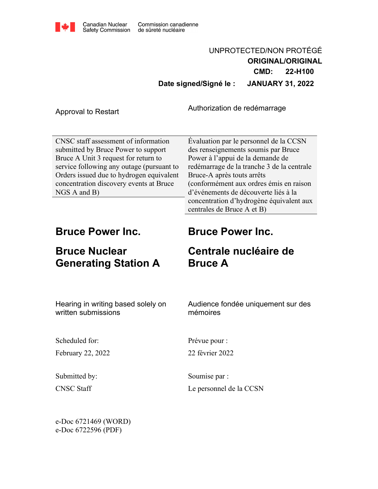

## UNPROTECTED/NON PROTÉGÉ **ORIGINAL/ORIGINAL CMD: 22-H100 Date signed/Signé le : JANUARY 31, 2022**

Authorization de redémarrage<br>Approval to Restart

CNSC staff assessment of information submitted by Bruce Power to support Bruce A Unit 3 request for return to service following any outage (pursuant to Orders issued due to hydrogen equivalent concentration discovery events at Bruce NGS A and B)

Évaluation par le personnel de la CCSN des renseignements soumis par Bruce Power à l'appui de la demande de redémarrage de la tranche 3 de la centrale Bruce-A après touts arrêts (conformément aux ordres émis en raison d'événements de découverte liés à la concentration d'hydrogène équivalent aux centrales de Bruce A et B)

## **Bruce Power Inc.**

# **Bruce Nuclear Generating Station A**

# **Bruce Power Inc.**

# **Centrale nucléaire de Bruce A**

Hearing in writing based solely on written submissions

Audience fondée uniquement sur des mémoires

Scheduled for:

February 22, 2022

Submitted by: CNSC Staff

Prévue pour :

22 février 2022

Soumise par : Le personnel de la CCSN

e-Doc 6721469 (WORD) e-Doc 6722596 (PDF)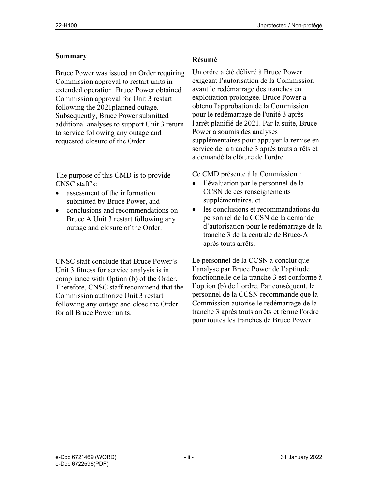#### **Summary**

Bruce Power was issued an Order requiring Commission approval to restart units in extended operation. Bruce Power obtained Commission approval for Unit 3 restart following the 2021planned outage. Subsequently, Bruce Power submitted additional analyses to support Unit 3 return to service following any outage and requested closure of the Order.

The purpose of this CMD is to provide CNSC staff's:

- assessment of the information submitted by Bruce Power, and
- conclusions and recommendations on Bruce A Unit 3 restart following any outage and closure of the Order.

CNSC staff conclude that Bruce Power's Unit 3 fitness for service analysis is in compliance with Option (b) of the Order. Therefore, CNSC staff recommend that the Commission authorize Unit 3 restart following any outage and close the Order for all Bruce Power units.

#### **Résumé**

Un ordre a été délivré à Bruce Power exigeant l'autorisation de la Commission avant le redémarrage des tranches en exploitation prolongée. Bruce Power a obtenu l'approbation de la Commission pour le redémarrage de l'unité 3 après l'arrêt planifié de 2021. Par la suite, Bruce Power a soumis des analyses supplémentaires pour appuyer la remise en service de la tranche 3 après touts arrêts et a demandé la clôture de l'ordre.

Ce CMD présente à la Commission :

- l'évaluation par le personnel de la CCSN de ces renseignements supplémentaires, et
- les conclusions et recommandations du personnel de la CCSN de la demande d'autorisation pour le redémarrage de la tranche 3 de la centrale de Bruce-A après touts arrêts.

Le personnel de la CCSN a conclut que l'analyse par Bruce Power de l'aptitude fonctionnelle de la tranche 3 est conforme à l'option (b) de l'ordre. Par conséquent, le personnel de la CCSN recommande que la Commission autorise le redémarrage de la tranche 3 après touts arrêts et ferme l'ordre pour toutes les tranches de Bruce Power.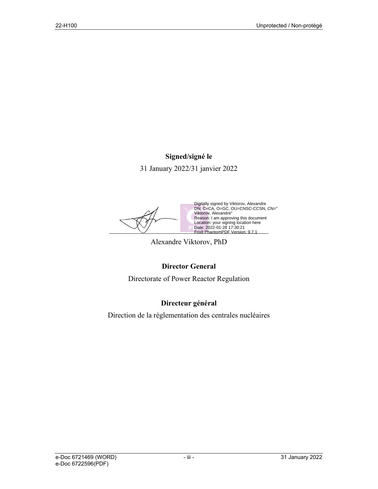#### **Signed/signé le**

31 January 2022/31 janvier 2022

 $\triangleright$  Date: 2022-01-28 17:30:21<br>Foxit PhantomPDF Version: 9.7.1 Digitally signed by Viktorov, Alexandre DN: C=CA, O=GC, OU=CNSC-CCSN, CN=" Viktorov, Alexandre" Reason: I am approving this document Location: your signing location here Date: 2022-01-28 17:30:21 Foxit PhantomPDF Version: 9.7.1

Alexandre Viktorov, PhD

#### **Director General**

Directorate of Power Reactor Regulation

### **Directeur général**

Direction de la réglementation des centrales nucléaires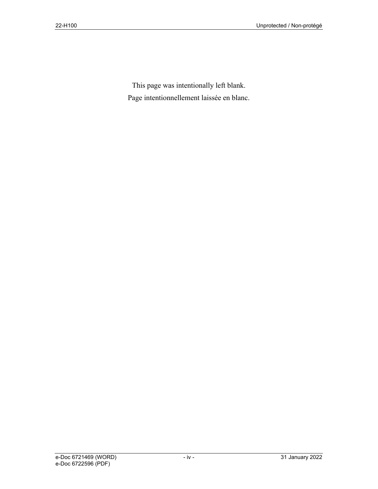This page was intentionally left blank. Page intentionnellement laissée en blanc.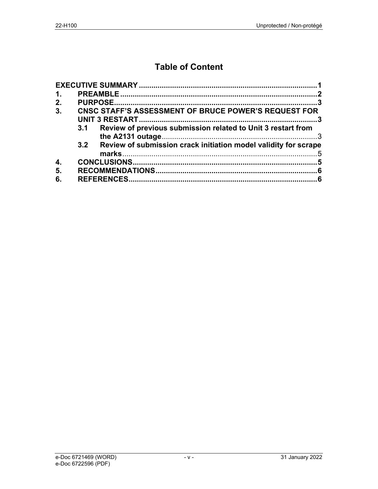## **Table of Content**

| 1. |     |                                                                 |  |
|----|-----|-----------------------------------------------------------------|--|
| 2. |     |                                                                 |  |
| 3. |     | <b>CNSC STAFF'S ASSESSMENT OF BRUCE POWER'S REQUEST FOR</b>     |  |
|    | 3.1 | Review of previous submission related to Unit 3 restart from    |  |
|    |     |                                                                 |  |
|    | 3.2 | Review of submission crack initiation model validity for scrape |  |
|    |     |                                                                 |  |
| 4. |     |                                                                 |  |
| 5. |     |                                                                 |  |
| 6. |     |                                                                 |  |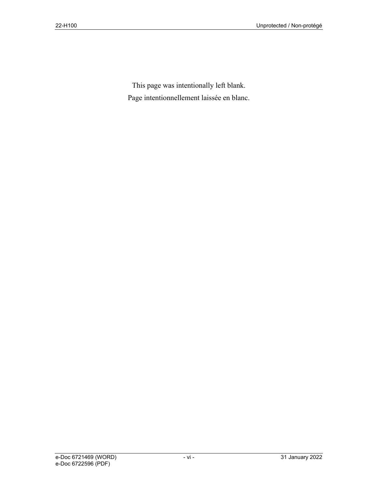This page was intentionally left blank. Page intentionnellement laissée en blanc.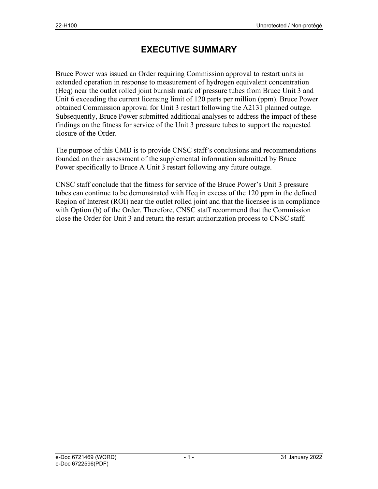### **EXECUTIVE SUMMARY**

Bruce Power was issued an Order requiring Commission approval to restart units in extended operation in response to measurement of hydrogen equivalent concentration (Heq) near the outlet rolled joint burnish mark of pressure tubes from Bruce Unit 3 and Unit 6 exceeding the current licensing limit of 120 parts per million (ppm). Bruce Power obtained Commission approval for Unit 3 restart following the A2131 planned outage. Subsequently, Bruce Power submitted additional analyses to address the impact of these findings on the fitness for service of the Unit 3 pressure tubes to support the requested closure of the Order.

The purpose of this CMD is to provide CNSC staff's conclusions and recommendations founded on their assessment of the supplemental information submitted by Bruce Power specifically to Bruce A Unit 3 restart following any future outage.

CNSC staff conclude that the fitness for service of the Bruce Power's Unit 3 pressure tubes can continue to be demonstrated with Heq in excess of the 120 ppm in the defined Region of Interest (ROI) near the outlet rolled joint and that the licensee is in compliance with Option (b) of the Order. Therefore, CNSC staff recommend that the Commission close the Order for Unit 3 and return the restart authorization process to CNSC staff.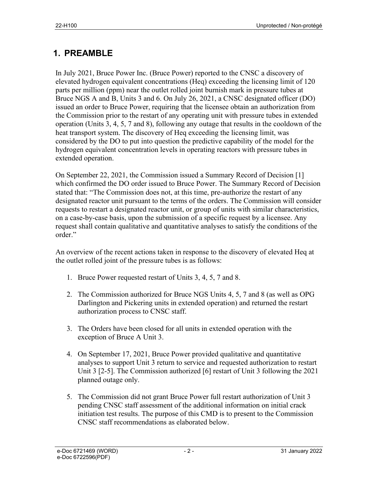## **1. PREAMBLE**

In July 2021, Bruce Power Inc. (Bruce Power) reported to the CNSC a discovery of elevated hydrogen equivalent concentrations (Heq) exceeding the licensing limit of 120 parts per million (ppm) near the outlet rolled joint burnish mark in pressure tubes at Bruce NGS A and B, Units 3 and 6. On July 26, 2021, a CNSC designated officer (DO) issued an order to Bruce Power, requiring that the licensee obtain an authorization from the Commission prior to the restart of any operating unit with pressure tubes in extended operation (Units 3, 4, 5, 7 and 8), following any outage that results in the cooldown of the heat transport system. The discovery of Heq exceeding the licensing limit, was considered by the DO to put into question the predictive capability of the model for the hydrogen equivalent concentration levels in operating reactors with pressure tubes in extended operation.

On September 22, 2021, the Commission issued a Summary Record of Decision [1] which confirmed the DO order issued to Bruce Power. The Summary Record of Decision stated that: "The Commission does not, at this time, pre-authorize the restart of any designated reactor unit pursuant to the terms of the orders. The Commission will consider requests to restart a designated reactor unit, or group of units with similar characteristics, on a case-by-case basis, upon the submission of a specific request by a licensee. Any request shall contain qualitative and quantitative analyses to satisfy the conditions of the order."

An overview of the recent actions taken in response to the discovery of elevated Heq at the outlet rolled joint of the pressure tubes is as follows:

- 1. Bruce Power requested restart of Units 3, 4, 5, 7 and 8.
- 2. The Commission authorized for Bruce NGS Units 4, 5, 7 and 8 (as well as OPG Darlington and Pickering units in extended operation) and returned the restart authorization process to CNSC staff.
- 3. The Orders have been closed for all units in extended operation with the exception of Bruce A Unit 3.
- 4. On September 17, 2021, Bruce Power provided qualitative and quantitative analyses to support Unit 3 return to service and requested authorization to restart Unit 3 [2-5]. The Commission authorized [6] restart of Unit 3 following the 2021 planned outage only.
- 5. The Commission did not grant Bruce Power full restart authorization of Unit 3 pending CNSC staff assessment of the additional information on initial crack initiation test results. The purpose of this CMD is to present to the Commission CNSC staff recommendations as elaborated below.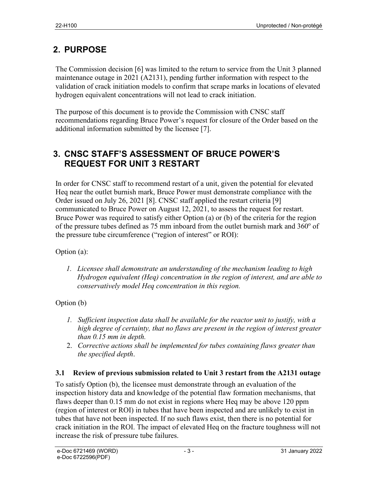## **2. PURPOSE**

The Commission decision [6] was limited to the return to service from the Unit 3 planned maintenance outage in 2021 (A2131), pending further information with respect to the validation of crack initiation models to confirm that scrape marks in locations of elevated hydrogen equivalent concentrations will not lead to crack initiation.

The purpose of this document is to provide the Commission with CNSC staff recommendations regarding Bruce Power's request for closure of the Order based on the additional information submitted by the licensee [7].

### **3. CNSC STAFF'S ASSESSMENT OF BRUCE POWER'S REQUEST FOR UNIT 3 RESTART**

In order for CNSC staff to recommend restart of a unit, given the potential for elevated Heq near the outlet burnish mark, Bruce Power must demonstrate compliance with the Order issued on July 26, 2021 [8]. CNSC staff applied the restart criteria [9] communicated to Bruce Power on August 12, 2021, to assess the request for restart. Bruce Power was required to satisfy either Option (a) or (b) of the criteria for the region of the pressure tubes defined as 75 mm inboard from the outlet burnish mark and  $360^{\circ}$  of the pressure tube circumference ("region of interest" or ROI):

### Option (a):

*1. Licensee shall demonstrate an understanding of the mechanism leading to high Hydrogen equivalent (Heq) concentration in the region of interest, and are able to conservatively model Heq concentration in this region.*

### Option (b)

- *1. Sufficient inspection data shall be available for the reactor unit to justify, with a high degree of certainty, that no flaws are present in the region of interest greater than 0.15 mm in depth.*
- 2. *Corrective actions shall be implemented for tubes containing flaws greater than the specified depth*.

### **3.1 Review of previous submission related to Unit 3 restart from the A2131 outage**

To satisfy Option (b), the licensee must demonstrate through an evaluation of the inspection history data and knowledge of the potential flaw formation mechanisms, that flaws deeper than 0.15 mm do not exist in regions where Heq may be above 120 ppm (region of interest or ROI) in tubes that have been inspected and are unlikely to exist in tubes that have not been inspected. If no such flaws exist, then there is no potential for crack initiation in the ROI. The impact of elevated Heq on the fracture toughness will not increase the risk of pressure tube failures.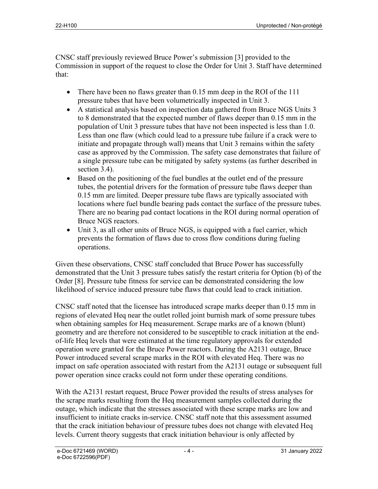CNSC staff previously reviewed Bruce Power's submission [3] provided to the Commission in support of the request to close the Order for Unit 3. Staff have determined that:

- There have been no flaws greater than 0.15 mm deep in the ROI of the 111 pressure tubes that have been volumetrically inspected in Unit 3.
- A statistical analysis based on inspection data gathered from Bruce NGS Units 3 to 8 demonstrated that the expected number of flaws deeper than 0.15 mm in the population of Unit 3 pressure tubes that have not been inspected is less than 1.0. Less than one flaw (which could lead to a pressure tube failure if a crack were to initiate and propagate through wall) means that Unit 3 remains within the safety case as approved by the Commission. The safety case demonstrates that failure of a single pressure tube can be mitigated by safety systems (as further described in section 3.4).
- Based on the positioning of the fuel bundles at the outlet end of the pressure tubes, the potential drivers for the formation of pressure tube flaws deeper than 0.15 mm are limited. Deeper pressure tube flaws are typically associated with locations where fuel bundle bearing pads contact the surface of the pressure tubes. There are no bearing pad contact locations in the ROI during normal operation of Bruce NGS reactors.
- Unit 3, as all other units of Bruce NGS, is equipped with a fuel carrier, which prevents the formation of flaws due to cross flow conditions during fueling operations.

Given these observations, CNSC staff concluded that Bruce Power has successfully demonstrated that the Unit 3 pressure tubes satisfy the restart criteria for Option (b) of the Order [8]. Pressure tube fitness for service can be demonstrated considering the low likelihood of service induced pressure tube flaws that could lead to crack initiation.

CNSC staff noted that the licensee has introduced scrape marks deeper than 0.15 mm in regions of elevated Heq near the outlet rolled joint burnish mark of some pressure tubes when obtaining samples for Heq measurement. Scrape marks are of a known (blunt) geometry and are therefore not considered to be susceptible to crack initiation at the endof-life Heq levels that were estimated at the time regulatory approvals for extended operation were granted for the Bruce Power reactors. During the A2131 outage, Bruce Power introduced several scrape marks in the ROI with elevated Heq. There was no impact on safe operation associated with restart from the A2131 outage or subsequent full power operation since cracks could not form under these operating conditions.

With the A2131 restart request, Bruce Power provided the results of stress analyses for the scrape marks resulting from the Heq measurement samples collected during the outage, which indicate that the stresses associated with these scrape marks are low and insufficient to initiate cracks in-service. CNSC staff note that this assessment assumed that the crack initiation behaviour of pressure tubes does not change with elevated Heq levels. Current theory suggests that crack initiation behaviour is only affected by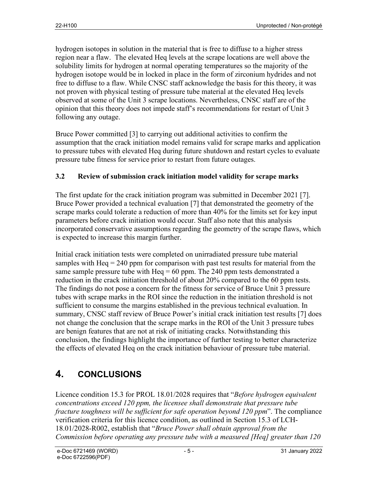hydrogen isotopes in solution in the material that is free to diffuse to a higher stress region near a flaw. The elevated Heq levels at the scrape locations are well above the solubility limits for hydrogen at normal operating temperatures so the majority of the hydrogen isotope would be in locked in place in the form of zirconium hydrides and not free to diffuse to a flaw. While CNSC staff acknowledge the basis for this theory, it was not proven with physical testing of pressure tube material at the elevated Heq levels observed at some of the Unit 3 scrape locations. Nevertheless, CNSC staff are of the opinion that this theory does not impede staff's recommendations for restart of Unit 3 following any outage.

Bruce Power committed [3] to carrying out additional activities to confirm the assumption that the crack initiation model remains valid for scrape marks and application to pressure tubes with elevated Heq during future shutdown and restart cycles to evaluate pressure tube fitness for service prior to restart from future outages.

### **3.2 Review of submission crack initiation model validity for scrape marks**

The first update for the crack initiation program was submitted in December 2021 [7]. Bruce Power provided a technical evaluation [7] that demonstrated the geometry of the scrape marks could tolerate a reduction of more than 40% for the limits set for key input parameters before crack initiation would occur. Staff also note that this analysis incorporated conservative assumptions regarding the geometry of the scrape flaws, which is expected to increase this margin further.

Initial crack initiation tests were completed on unirradiated pressure tube material samples with Heq  $= 240$  ppm for comparison with past test results for material from the same sample pressure tube with  $Heq = 60$  ppm. The 240 ppm tests demonstrated a reduction in the crack initiation threshold of about 20% compared to the 60 ppm tests. The findings do not pose a concern for the fitness for service of Bruce Unit 3 pressure tubes with scrape marks in the ROI since the reduction in the initiation threshold is not sufficient to consume the margins established in the previous technical evaluation. In summary, CNSC staff review of Bruce Power's initial crack initiation test results [7] does not change the conclusion that the scrape marks in the ROI of the Unit 3 pressure tubes are benign features that are not at risk of initiating cracks. Notwithstanding this conclusion, the findings highlight the importance of further testing to better characterize the effects of elevated Heq on the crack initiation behaviour of pressure tube material.

# **4. CONCLUSIONS**

Licence condition 15.3 for PROL 18.01/2028 requires that "*Before hydrogen equivalent concentrations exceed 120 ppm, the licensee shall demonstrate that pressure tube fracture toughness will be sufficient for safe operation beyond 120 ppm*". The compliance verification criteria for this licence condition, as outlined in Section 15.3 of LCH-18.01/2028-R002, establish that "*Bruce Power shall obtain approval from the Commission before operating any pressure tube with a measured [Heq] greater than 120*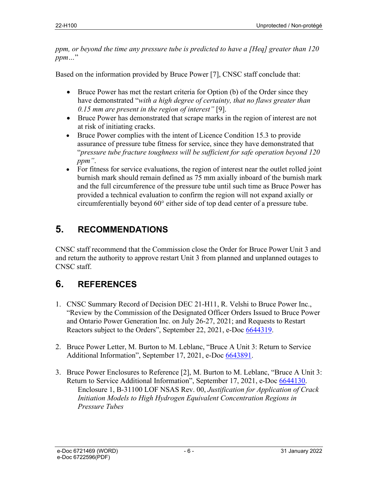*ppm, or beyond the time any pressure tube is predicted to have a [Heq] greater than 120 ppm…*"

Based on the information provided by Bruce Power [7], CNSC staff conclude that:

- Bruce Power has met the restart criteria for Option (b) of the Order since they have demonstrated "*with a high degree of certainty, that no flaws greater than 0.15 mm are present in the region of interest"* [9].
- Bruce Power has demonstrated that scrape marks in the region of interest are not at risk of initiating cracks.
- Bruce Power complies with the intent of Licence Condition 15.3 to provide assurance of pressure tube fitness for service, since they have demonstrated that "*pressure tube fracture toughness will be sufficient for safe operation beyond 120 ppm"*.
- For fitness for service evaluations, the region of interest near the outlet rolled joint burnish mark should remain defined as 75 mm axially inboard of the burnish mark and the full circumference of the pressure tube until such time as Bruce Power has provided a technical evaluation to confirm the region will not expand axially or circumferentially beyond 60° either side of top dead center of a pressure tube.

# **5. RECOMMENDATIONS**

CNSC staff recommend that the Commission close the Order for Bruce Power Unit 3 and and return the authority to approve restart Unit 3 from planned and unplanned outages to CNSC staff.

# **6. REFERENCES**

- 1. CNSC Summary Record of Decision DEC 21-H11, R. Velshi to Bruce Power Inc., "Review by the Commission of the Designated Officer Orders Issued to Bruce Power and Ontario Power Generation Inc. on July 26-27, 2021; and Requests to Restart Reactors subject to the Orders", September 22, 2021, e-Doc 6644319.
- 2. Bruce Power Letter, M. Burton to M. Leblanc, "Bruce A Unit 3: Return to Service Additional Information", September 17, 2021, e-Doc 6643891.
- 3. Bruce Power Enclosures to Reference [2], M. Burton to M. Leblanc, "Bruce A Unit 3: Return to Service Additional Information", September 17, 2021, e-Doc 6644130. Enclosure 1, B-31100 LOF NSAS Rev. 00, *Justification for Application of Crack Initiation Models to High Hydrogen Equivalent Concentration Regions in Pressure Tubes*